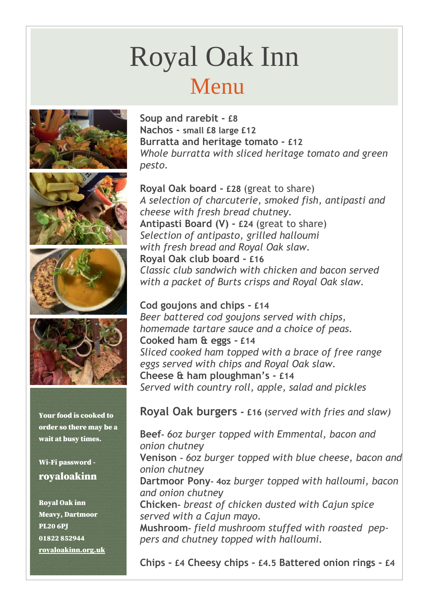# Royal Oak Inn Menu









Your food is cooked to order so there may be a wait at busy times.

#### Wi-Fi password royaloakinn

Royal Oak inn Meavy, Dartmoor PL20 6PJ 01822 852944 [royaloakinn.org.uk](http://royaloakinn.org.uk/) **Soup and rarebit - £8 Nachos - small £8 large £12 Burratta and heritage tomato - £12** *Whole burratta with sliced heritage tomato and green pesto.*

**Royal Oak board - £28** (great to share) *A selection of charcuterie, smoked fish, antipasti and cheese with fresh bread chutney.*  **Antipasti Board (V) - £24** (great to share) *Selection of antipasto, grilled halloumi with fresh bread and Royal Oak slaw.* **Royal Oak club board - £16** *Classic club sandwich with chicken and bacon served with a packet of Burts crisps and Royal Oak slaw.* 

**Cod goujons and chips - £14** *Beer battered cod goujons served with chips, homemade tartare sauce and a choice of peas.* **Cooked ham & eggs - £14** *Sliced cooked ham topped with a brace of free range eggs served with chips and Royal Oak slaw.* **Cheese & ham ploughman's - £14** *Served with country roll, apple, salad and pickles*

#### **Royal Oak burgers - £16 (***served with fries and slaw)*

**Beef-** *6oz burger topped with Emmental, bacon and onion chutney* **Venison -** *6oz burger topped with blue cheese, bacon and onion chutney* **Dartmoor Pony- 4oz** *burger topped with halloumi, bacon and onion chutney* **Chicken-** *breast of chicken dusted with Cajun spice served with a Cajun mayo.* **Mushroom-** *field mushroom stuffed with roasted peppers and chutney topped with halloumi.* 

**Chips - £4 Cheesy chips - £4.5 Battered onion rings - £4**